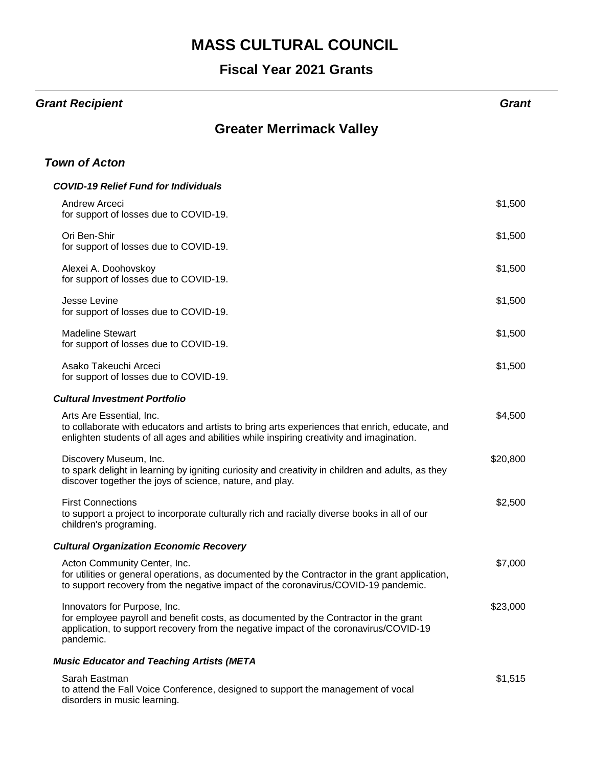#### **Fiscal Year 2021 Grants**

#### *Grant Recipient Grant*

#### **Greater Merrimack Valley**

#### *Town of Acton*

| <b>COVID-19 Relief Fund for Individuals</b>                                                                                                                                                                                |          |
|----------------------------------------------------------------------------------------------------------------------------------------------------------------------------------------------------------------------------|----------|
| <b>Andrew Arceci</b><br>for support of losses due to COVID-19.                                                                                                                                                             | \$1,500  |
| Ori Ben-Shir<br>for support of losses due to COVID-19.                                                                                                                                                                     | \$1,500  |
| Alexei A. Doohovskoy<br>for support of losses due to COVID-19.                                                                                                                                                             | \$1,500  |
| Jesse Levine<br>for support of losses due to COVID-19.                                                                                                                                                                     | \$1,500  |
| <b>Madeline Stewart</b><br>for support of losses due to COVID-19.                                                                                                                                                          | \$1,500  |
| Asako Takeuchi Arceci<br>for support of losses due to COVID-19.                                                                                                                                                            | \$1,500  |
| <b>Cultural Investment Portfolio</b>                                                                                                                                                                                       |          |
| Arts Are Essential, Inc.<br>to collaborate with educators and artists to bring arts experiences that enrich, educate, and<br>enlighten students of all ages and abilities while inspiring creativity and imagination.      | \$4,500  |
| Discovery Museum, Inc.<br>to spark delight in learning by igniting curiosity and creativity in children and adults, as they<br>discover together the joys of science, nature, and play.                                    | \$20,800 |
| <b>First Connections</b><br>to support a project to incorporate culturally rich and racially diverse books in all of our<br>children's programing.                                                                         | \$2,500  |
| <b>Cultural Organization Economic Recovery</b>                                                                                                                                                                             |          |
| Acton Community Center, Inc.<br>for utilities or general operations, as documented by the Contractor in the grant application,<br>to support recovery from the negative impact of the coronavirus/COVID-19 pandemic.       | \$7,000  |
| Innovators for Purpose, Inc.<br>for employee payroll and benefit costs, as documented by the Contractor in the grant<br>application, to support recovery from the negative impact of the coronavirus/COVID-19<br>pandemic. | \$23,000 |
| <b>Music Educator and Teaching Artists (META</b>                                                                                                                                                                           |          |
| Sarah Eastman                                                                                                                                                                                                              | \$1,515  |

to attend the Fall Voice Conference, designed to support the management of vocal

disorders in music learning.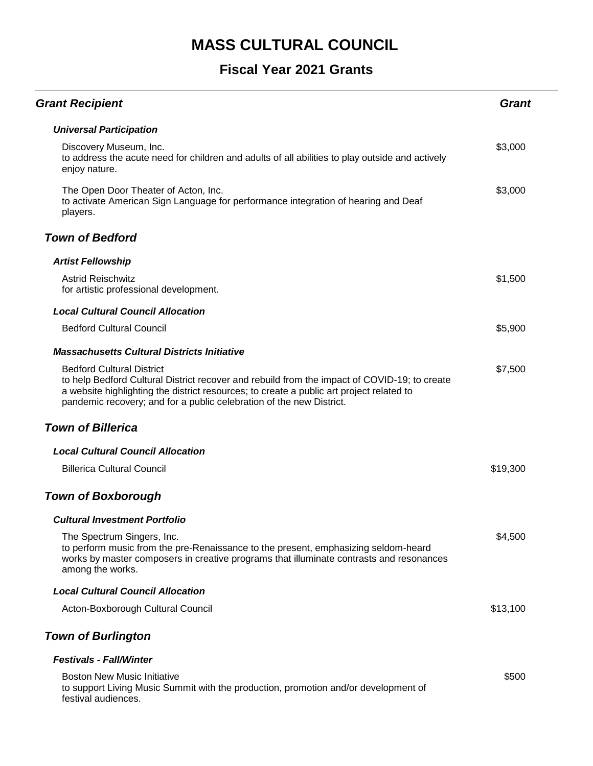| <b>Grant Recipient</b>                                                                                                                                                                                                                                                                               | <b>Grant</b> |  |
|------------------------------------------------------------------------------------------------------------------------------------------------------------------------------------------------------------------------------------------------------------------------------------------------------|--------------|--|
| <b>Universal Participation</b>                                                                                                                                                                                                                                                                       |              |  |
| Discovery Museum, Inc.<br>to address the acute need for children and adults of all abilities to play outside and actively<br>enjoy nature.                                                                                                                                                           | \$3,000      |  |
| The Open Door Theater of Acton, Inc.<br>to activate American Sign Language for performance integration of hearing and Deaf<br>players.                                                                                                                                                               | \$3,000      |  |
| <b>Town of Bedford</b>                                                                                                                                                                                                                                                                               |              |  |
| <b>Artist Fellowship</b>                                                                                                                                                                                                                                                                             |              |  |
| <b>Astrid Reischwitz</b><br>for artistic professional development.                                                                                                                                                                                                                                   | \$1,500      |  |
| <b>Local Cultural Council Allocation</b>                                                                                                                                                                                                                                                             |              |  |
| <b>Bedford Cultural Council</b>                                                                                                                                                                                                                                                                      | \$5,900      |  |
| <b>Massachusetts Cultural Districts Initiative</b>                                                                                                                                                                                                                                                   |              |  |
| <b>Bedford Cultural District</b><br>to help Bedford Cultural District recover and rebuild from the impact of COVID-19; to create<br>a website highlighting the district resources; to create a public art project related to<br>pandemic recovery; and for a public celebration of the new District. | \$7,500      |  |
| <b>Town of Billerica</b>                                                                                                                                                                                                                                                                             |              |  |
| <b>Local Cultural Council Allocation</b>                                                                                                                                                                                                                                                             |              |  |
| <b>Billerica Cultural Council</b>                                                                                                                                                                                                                                                                    | \$19,300     |  |
| <b>Town of Boxborough</b>                                                                                                                                                                                                                                                                            |              |  |
| <b>Cultural Investment Portfolio</b>                                                                                                                                                                                                                                                                 |              |  |
| The Spectrum Singers, Inc.<br>to perform music from the pre-Renaissance to the present, emphasizing seldom-heard<br>works by master composers in creative programs that illuminate contrasts and resonances<br>among the works.                                                                      | \$4,500      |  |
| <b>Local Cultural Council Allocation</b>                                                                                                                                                                                                                                                             |              |  |
| Acton-Boxborough Cultural Council                                                                                                                                                                                                                                                                    | \$13,100     |  |
| <b>Town of Burlington</b>                                                                                                                                                                                                                                                                            |              |  |
| <b>Festivals - Fall/Winter</b>                                                                                                                                                                                                                                                                       |              |  |
| <b>Boston New Music Initiative</b><br>to support Living Music Summit with the production, promotion and/or development of<br>festival audiences.                                                                                                                                                     | \$500        |  |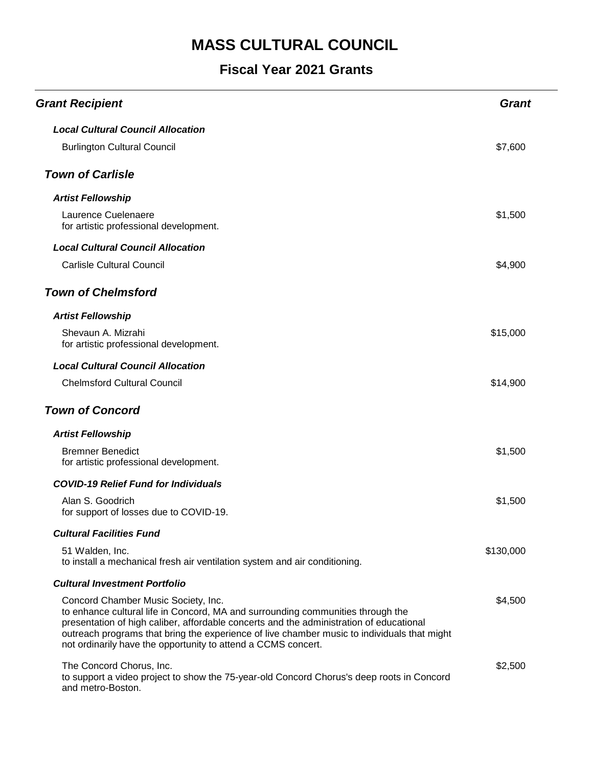| <b>Grant Recipient</b>                                                                                                                                                                                                                                                                                                                                                            | <b>Grant</b> |
|-----------------------------------------------------------------------------------------------------------------------------------------------------------------------------------------------------------------------------------------------------------------------------------------------------------------------------------------------------------------------------------|--------------|
| <b>Local Cultural Council Allocation</b>                                                                                                                                                                                                                                                                                                                                          |              |
| <b>Burlington Cultural Council</b>                                                                                                                                                                                                                                                                                                                                                | \$7,600      |
| <b>Town of Carlisle</b>                                                                                                                                                                                                                                                                                                                                                           |              |
| <b>Artist Fellowship</b>                                                                                                                                                                                                                                                                                                                                                          |              |
| Laurence Cuelenaere<br>for artistic professional development.                                                                                                                                                                                                                                                                                                                     | \$1,500      |
| <b>Local Cultural Council Allocation</b>                                                                                                                                                                                                                                                                                                                                          |              |
| <b>Carlisle Cultural Council</b>                                                                                                                                                                                                                                                                                                                                                  | \$4,900      |
| <b>Town of Chelmsford</b>                                                                                                                                                                                                                                                                                                                                                         |              |
| <b>Artist Fellowship</b>                                                                                                                                                                                                                                                                                                                                                          |              |
| Shevaun A. Mizrahi<br>for artistic professional development.                                                                                                                                                                                                                                                                                                                      | \$15,000     |
| <b>Local Cultural Council Allocation</b>                                                                                                                                                                                                                                                                                                                                          |              |
| <b>Chelmsford Cultural Council</b>                                                                                                                                                                                                                                                                                                                                                | \$14,900     |
| <b>Town of Concord</b>                                                                                                                                                                                                                                                                                                                                                            |              |
| <b>Artist Fellowship</b>                                                                                                                                                                                                                                                                                                                                                          |              |
| <b>Bremner Benedict</b><br>for artistic professional development.                                                                                                                                                                                                                                                                                                                 | \$1,500      |
| <b>COVID-19 Relief Fund for Individuals</b>                                                                                                                                                                                                                                                                                                                                       |              |
| Alan S. Goodrich<br>for support of losses due to COVID-19.                                                                                                                                                                                                                                                                                                                        | \$1,500      |
| <b>Cultural Facilities Fund</b>                                                                                                                                                                                                                                                                                                                                                   |              |
| 51 Walden, Inc.<br>to install a mechanical fresh air ventilation system and air conditioning.                                                                                                                                                                                                                                                                                     | \$130,000    |
| <b>Cultural Investment Portfolio</b>                                                                                                                                                                                                                                                                                                                                              |              |
| Concord Chamber Music Society, Inc.<br>to enhance cultural life in Concord, MA and surrounding communities through the<br>presentation of high caliber, affordable concerts and the administration of educational<br>outreach programs that bring the experience of live chamber music to individuals that might<br>not ordinarily have the opportunity to attend a CCMS concert. | \$4,500      |
| The Concord Chorus, Inc.<br>to support a video project to show the 75-year-old Concord Chorus's deep roots in Concord<br>and metro-Boston.                                                                                                                                                                                                                                        | \$2,500      |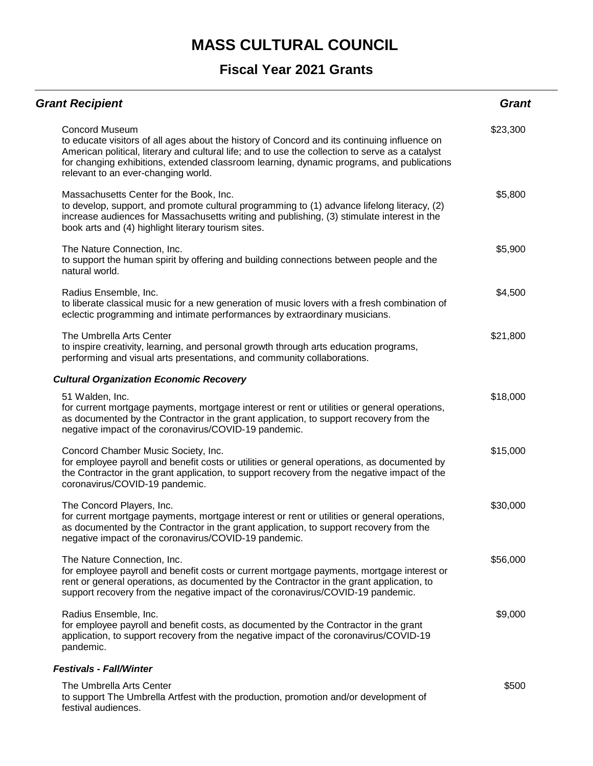#### **Fiscal Year 2021 Grants**

| <b>Grant Recipient</b>                                                                                                                                                                                                                                                                                                                                        | <b>Grant</b> |
|---------------------------------------------------------------------------------------------------------------------------------------------------------------------------------------------------------------------------------------------------------------------------------------------------------------------------------------------------------------|--------------|
| <b>Concord Museum</b><br>to educate visitors of all ages about the history of Concord and its continuing influence on<br>American political, literary and cultural life; and to use the collection to serve as a catalyst<br>for changing exhibitions, extended classroom learning, dynamic programs, and publications<br>relevant to an ever-changing world. | \$23,300     |
| Massachusetts Center for the Book, Inc.<br>to develop, support, and promote cultural programming to (1) advance lifelong literacy, (2)<br>increase audiences for Massachusetts writing and publishing, (3) stimulate interest in the<br>book arts and (4) highlight literary tourism sites.                                                                   | \$5,800      |
| The Nature Connection, Inc.<br>to support the human spirit by offering and building connections between people and the<br>natural world.                                                                                                                                                                                                                      | \$5,900      |
| Radius Ensemble, Inc.<br>to liberate classical music for a new generation of music lovers with a fresh combination of<br>eclectic programming and intimate performances by extraordinary musicians.                                                                                                                                                           | \$4,500      |
| The Umbrella Arts Center<br>to inspire creativity, learning, and personal growth through arts education programs,<br>performing and visual arts presentations, and community collaborations.                                                                                                                                                                  | \$21,800     |
| <b>Cultural Organization Economic Recovery</b>                                                                                                                                                                                                                                                                                                                |              |
| 51 Walden, Inc.<br>for current mortgage payments, mortgage interest or rent or utilities or general operations,<br>as documented by the Contractor in the grant application, to support recovery from the<br>negative impact of the coronavirus/COVID-19 pandemic.                                                                                            | \$18,000     |
| Concord Chamber Music Society, Inc.<br>for employee payroll and benefit costs or utilities or general operations, as documented by<br>the Contractor in the grant application, to support recovery from the negative impact of the<br>coronavirus/COVID-19 pandemic.                                                                                          | \$15,000     |
| The Concord Players, Inc.<br>for current mortgage payments, mortgage interest or rent or utilities or general operations,<br>as documented by the Contractor in the grant application, to support recovery from the<br>negative impact of the coronavirus/COVID-19 pandemic.                                                                                  | \$30,000     |
| The Nature Connection, Inc.<br>for employee payroll and benefit costs or current mortgage payments, mortgage interest or<br>rent or general operations, as documented by the Contractor in the grant application, to<br>support recovery from the negative impact of the coronavirus/COVID-19 pandemic.                                                       | \$56,000     |
| Radius Ensemble, Inc.<br>for employee payroll and benefit costs, as documented by the Contractor in the grant<br>application, to support recovery from the negative impact of the coronavirus/COVID-19<br>pandemic.                                                                                                                                           | \$9,000      |
| <b>Festivals - Fall/Winter</b>                                                                                                                                                                                                                                                                                                                                |              |
| The Umbrella Arts Center<br>to support The Umbrella Artfest with the production, promotion and/or development of                                                                                                                                                                                                                                              | \$500        |

festival audiences.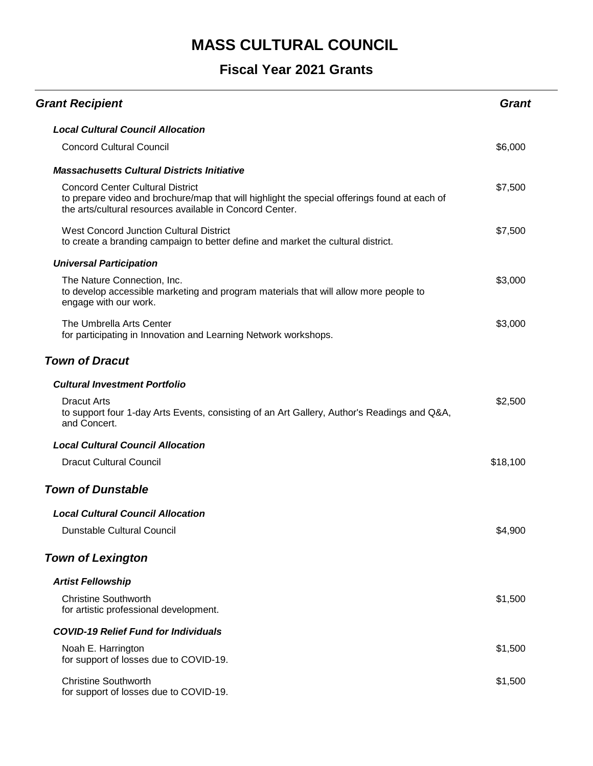| <b>Grant Recipient</b>                                                                                                                                                                              | <b>Grant</b> |
|-----------------------------------------------------------------------------------------------------------------------------------------------------------------------------------------------------|--------------|
| <b>Local Cultural Council Allocation</b>                                                                                                                                                            |              |
| <b>Concord Cultural Council</b>                                                                                                                                                                     | \$6,000      |
| <b>Massachusetts Cultural Districts Initiative</b>                                                                                                                                                  |              |
| <b>Concord Center Cultural District</b><br>to prepare video and brochure/map that will highlight the special offerings found at each of<br>the arts/cultural resources available in Concord Center. | \$7,500      |
| West Concord Junction Cultural District<br>to create a branding campaign to better define and market the cultural district.                                                                         | \$7,500      |
| <b>Universal Participation</b>                                                                                                                                                                      |              |
| The Nature Connection, Inc.<br>to develop accessible marketing and program materials that will allow more people to<br>engage with our work.                                                        | \$3,000      |
| The Umbrella Arts Center<br>for participating in Innovation and Learning Network workshops.                                                                                                         | \$3,000      |
| <b>Town of Dracut</b>                                                                                                                                                                               |              |
| <b>Cultural Investment Portfolio</b>                                                                                                                                                                |              |
| <b>Dracut Arts</b><br>to support four 1-day Arts Events, consisting of an Art Gallery, Author's Readings and Q&A,<br>and Concert.                                                                   | \$2,500      |
| <b>Local Cultural Council Allocation</b>                                                                                                                                                            |              |
| <b>Dracut Cultural Council</b>                                                                                                                                                                      | \$18,100     |
| <b>Town of Dunstable</b>                                                                                                                                                                            |              |
| <b>Local Cultural Council Allocation</b>                                                                                                                                                            |              |
| <b>Dunstable Cultural Council</b>                                                                                                                                                                   | \$4,900      |
| <b>Town of Lexington</b>                                                                                                                                                                            |              |
| <b>Artist Fellowship</b>                                                                                                                                                                            |              |
| <b>Christine Southworth</b><br>for artistic professional development.                                                                                                                               | \$1,500      |
| <b>COVID-19 Relief Fund for Individuals</b>                                                                                                                                                         |              |
| Noah E. Harrington<br>for support of losses due to COVID-19.                                                                                                                                        | \$1,500      |
| <b>Christine Southworth</b><br>for support of losses due to COVID-19.                                                                                                                               | \$1,500      |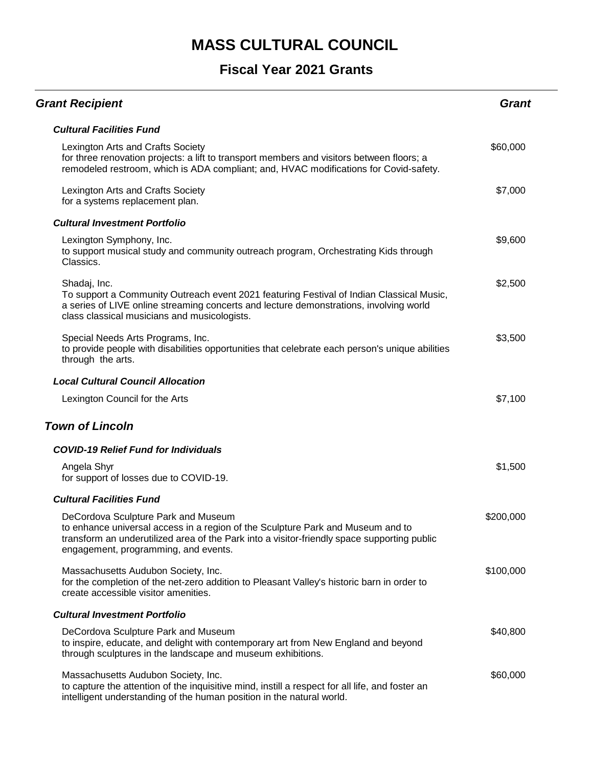| <b>Grant Recipient</b>                                                                                                                                                                                                                                        | Grant     |
|---------------------------------------------------------------------------------------------------------------------------------------------------------------------------------------------------------------------------------------------------------------|-----------|
| <b>Cultural Facilities Fund</b>                                                                                                                                                                                                                               |           |
| Lexington Arts and Crafts Society<br>for three renovation projects: a lift to transport members and visitors between floors; a<br>remodeled restroom, which is ADA compliant; and, HVAC modifications for Covid-safety.                                       | \$60,000  |
| Lexington Arts and Crafts Society<br>for a systems replacement plan.                                                                                                                                                                                          | \$7,000   |
| <b>Cultural Investment Portfolio</b>                                                                                                                                                                                                                          |           |
| Lexington Symphony, Inc.<br>to support musical study and community outreach program, Orchestrating Kids through<br>Classics.                                                                                                                                  | \$9,600   |
| Shadaj, Inc.<br>To support a Community Outreach event 2021 featuring Festival of Indian Classical Music,<br>a series of LIVE online streaming concerts and lecture demonstrations, involving world<br>class classical musicians and musicologists.            | \$2,500   |
| Special Needs Arts Programs, Inc.<br>to provide people with disabilities opportunities that celebrate each person's unique abilities<br>through the arts.                                                                                                     | \$3,500   |
| <b>Local Cultural Council Allocation</b>                                                                                                                                                                                                                      |           |
| Lexington Council for the Arts                                                                                                                                                                                                                                | \$7,100   |
| <b>Town of Lincoln</b>                                                                                                                                                                                                                                        |           |
| <b>COVID-19 Relief Fund for Individuals</b>                                                                                                                                                                                                                   |           |
| Angela Shyr<br>for support of losses due to COVID-19.                                                                                                                                                                                                         | \$1,500   |
| <b>Cultural Facilities Fund</b>                                                                                                                                                                                                                               |           |
| DeCordova Sculpture Park and Museum<br>to enhance universal access in a region of the Sculpture Park and Museum and to<br>transform an underutilized area of the Park into a visitor-friendly space supporting public<br>engagement, programming, and events. | \$200,000 |
| Massachusetts Audubon Society, Inc.<br>for the completion of the net-zero addition to Pleasant Valley's historic barn in order to<br>create accessible visitor amenities.                                                                                     | \$100,000 |
| <b>Cultural Investment Portfolio</b>                                                                                                                                                                                                                          |           |
| DeCordova Sculpture Park and Museum<br>to inspire, educate, and delight with contemporary art from New England and beyond<br>through sculptures in the landscape and museum exhibitions.                                                                      | \$40,800  |
| Massachusetts Audubon Society, Inc.<br>to capture the attention of the inquisitive mind, instill a respect for all life, and foster an<br>intelligent understanding of the human position in the natural world.                                               | \$60,000  |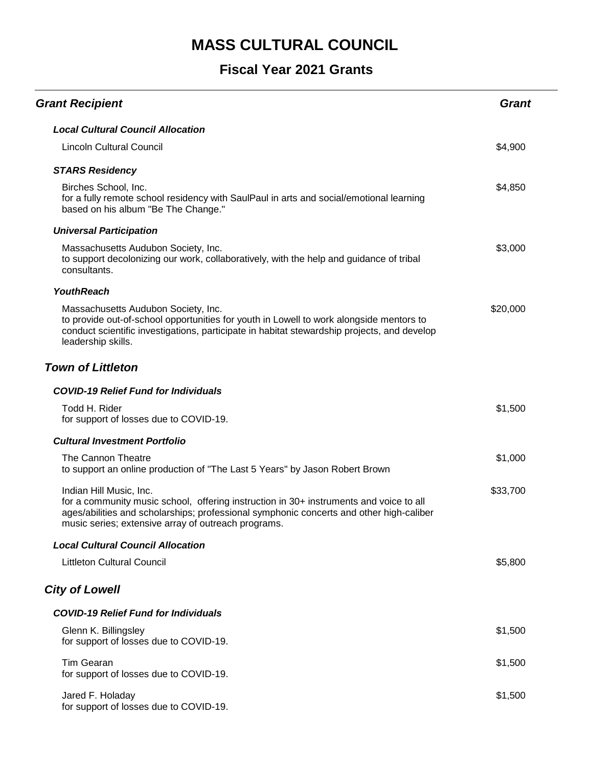| <b>Grant Recipient</b>                                                                                                                                                                                                                                              | <b>Grant</b> |
|---------------------------------------------------------------------------------------------------------------------------------------------------------------------------------------------------------------------------------------------------------------------|--------------|
| <b>Local Cultural Council Allocation</b>                                                                                                                                                                                                                            |              |
| <b>Lincoln Cultural Council</b>                                                                                                                                                                                                                                     | \$4,900      |
| <b>STARS Residency</b>                                                                                                                                                                                                                                              |              |
| Birches School, Inc.<br>for a fully remote school residency with SaulPaul in arts and social/emotional learning<br>based on his album "Be The Change."                                                                                                              | \$4,850      |
| <b>Universal Participation</b>                                                                                                                                                                                                                                      |              |
| Massachusetts Audubon Society, Inc.<br>to support decolonizing our work, collaboratively, with the help and guidance of tribal<br>consultants.                                                                                                                      | \$3,000      |
| <b>YouthReach</b>                                                                                                                                                                                                                                                   |              |
| Massachusetts Audubon Society, Inc.<br>to provide out-of-school opportunities for youth in Lowell to work alongside mentors to<br>conduct scientific investigations, participate in habitat stewardship projects, and develop<br>leadership skills.                 | \$20,000     |
| <b>Town of Littleton</b>                                                                                                                                                                                                                                            |              |
| <b>COVID-19 Relief Fund for Individuals</b>                                                                                                                                                                                                                         |              |
| Todd H. Rider<br>for support of losses due to COVID-19.                                                                                                                                                                                                             | \$1,500      |
| <b>Cultural Investment Portfolio</b>                                                                                                                                                                                                                                |              |
| The Cannon Theatre<br>to support an online production of "The Last 5 Years" by Jason Robert Brown                                                                                                                                                                   | \$1,000      |
| Indian Hill Music, Inc.<br>for a community music school, offering instruction in 30+ instruments and voice to all<br>ages/abilities and scholarships; professional symphonic concerts and other high-caliber<br>music series; extensive array of outreach programs. | \$33,700     |
| <b>Local Cultural Council Allocation</b>                                                                                                                                                                                                                            |              |
| <b>Littleton Cultural Council</b>                                                                                                                                                                                                                                   | \$5,800      |
| <b>City of Lowell</b>                                                                                                                                                                                                                                               |              |
| <b>COVID-19 Relief Fund for Individuals</b>                                                                                                                                                                                                                         |              |
| Glenn K. Billingsley<br>for support of losses due to COVID-19.                                                                                                                                                                                                      | \$1,500      |
| <b>Tim Gearan</b><br>for support of losses due to COVID-19.                                                                                                                                                                                                         | \$1,500      |
| Jared F. Holaday<br>for support of losses due to COVID-19.                                                                                                                                                                                                          | \$1,500      |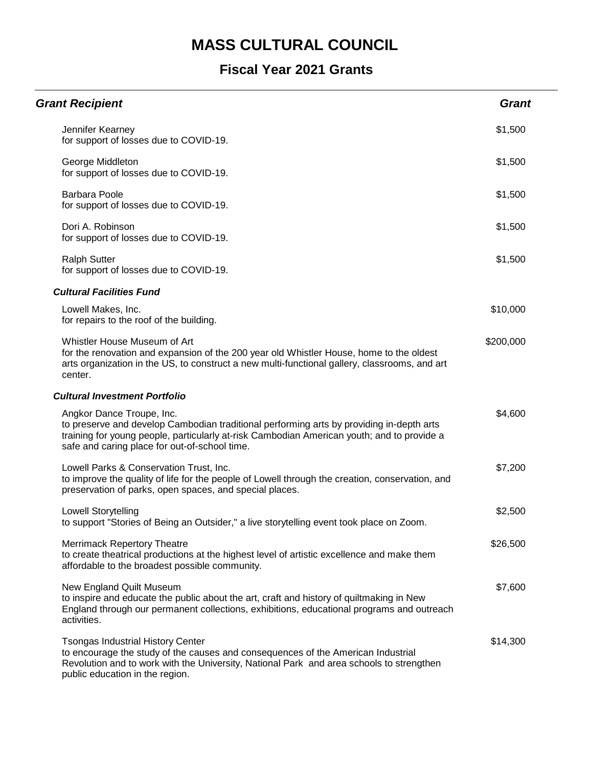| <b>Grant Recipient</b>                                                                                                                                                                                                                                               | <b>Grant</b> |
|----------------------------------------------------------------------------------------------------------------------------------------------------------------------------------------------------------------------------------------------------------------------|--------------|
| Jennifer Kearney<br>for support of losses due to COVID-19.                                                                                                                                                                                                           | \$1,500      |
| George Middleton<br>for support of losses due to COVID-19.                                                                                                                                                                                                           | \$1,500      |
| <b>Barbara Poole</b><br>for support of losses due to COVID-19.                                                                                                                                                                                                       | \$1,500      |
| Dori A. Robinson<br>for support of losses due to COVID-19.                                                                                                                                                                                                           | \$1,500      |
| <b>Ralph Sutter</b><br>for support of losses due to COVID-19.                                                                                                                                                                                                        | \$1,500      |
| <b>Cultural Facilities Fund</b>                                                                                                                                                                                                                                      |              |
| Lowell Makes, Inc.<br>for repairs to the roof of the building.                                                                                                                                                                                                       | \$10,000     |
| Whistler House Museum of Art<br>for the renovation and expansion of the 200 year old Whistler House, home to the oldest<br>arts organization in the US, to construct a new multi-functional gallery, classrooms, and art<br>center.                                  | \$200,000    |
| <b>Cultural Investment Portfolio</b>                                                                                                                                                                                                                                 |              |
| Angkor Dance Troupe, Inc.<br>to preserve and develop Cambodian traditional performing arts by providing in-depth arts<br>training for young people, particularly at-risk Cambodian American youth; and to provide a<br>safe and caring place for out-of-school time. | \$4,600      |
| Lowell Parks & Conservation Trust, Inc.<br>to improve the quality of life for the people of Lowell through the creation, conservation, and<br>preservation of parks, open spaces, and special places.                                                                | \$7,200      |
| <b>Lowell Storytelling</b><br>to support "Stories of Being an Outsider," a live storytelling event took place on Zoom.                                                                                                                                               | \$2,500      |
| <b>Merrimack Repertory Theatre</b><br>to create theatrical productions at the highest level of artistic excellence and make them<br>affordable to the broadest possible community.                                                                                   | \$26,500     |
| New England Quilt Museum<br>to inspire and educate the public about the art, craft and history of quiltmaking in New<br>England through our permanent collections, exhibitions, educational programs and outreach<br>activities.                                     | \$7,600      |
| <b>Tsongas Industrial History Center</b><br>to encourage the study of the causes and consequences of the American Industrial<br>Revolution and to work with the University, National Park and area schools to strengthen<br>public education in the region.          | \$14,300     |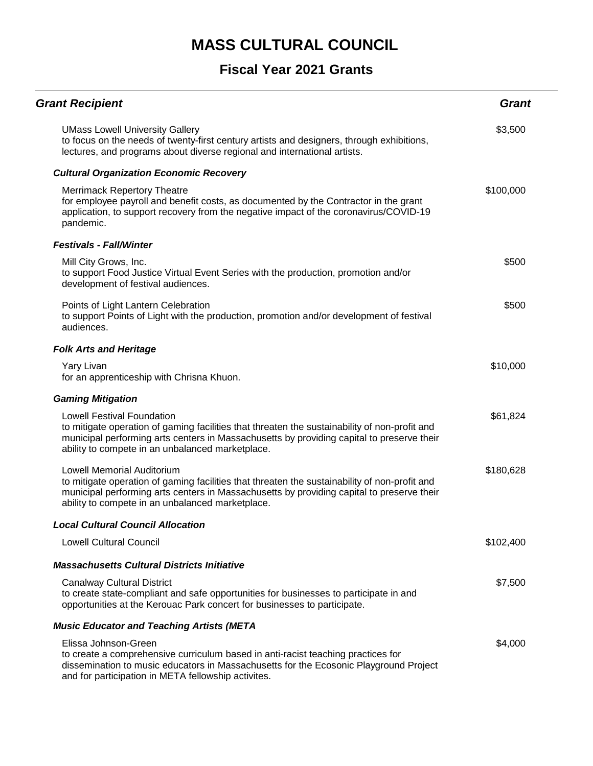| <b>Grant Recipient</b>                                                                                                                                                                                                                                                              | <b>Grant</b> |
|-------------------------------------------------------------------------------------------------------------------------------------------------------------------------------------------------------------------------------------------------------------------------------------|--------------|
| <b>UMass Lowell University Gallery</b><br>to focus on the needs of twenty-first century artists and designers, through exhibitions,<br>lectures, and programs about diverse regional and international artists.                                                                     | \$3,500      |
| <b>Cultural Organization Economic Recovery</b>                                                                                                                                                                                                                                      |              |
| <b>Merrimack Repertory Theatre</b><br>for employee payroll and benefit costs, as documented by the Contractor in the grant<br>application, to support recovery from the negative impact of the coronavirus/COVID-19<br>pandemic.                                                    | \$100,000    |
| <b>Festivals - Fall/Winter</b>                                                                                                                                                                                                                                                      |              |
| Mill City Grows, Inc.<br>to support Food Justice Virtual Event Series with the production, promotion and/or<br>development of festival audiences.                                                                                                                                   | \$500        |
| Points of Light Lantern Celebration<br>to support Points of Light with the production, promotion and/or development of festival<br>audiences.                                                                                                                                       | \$500        |
| <b>Folk Arts and Heritage</b>                                                                                                                                                                                                                                                       |              |
| Yary Livan<br>for an apprenticeship with Chrisna Khuon.                                                                                                                                                                                                                             | \$10,000     |
| <b>Gaming Mitigation</b>                                                                                                                                                                                                                                                            |              |
| <b>Lowell Festival Foundation</b><br>to mitigate operation of gaming facilities that threaten the sustainability of non-profit and<br>municipal performing arts centers in Massachusetts by providing capital to preserve their<br>ability to compete in an unbalanced marketplace. | \$61,824     |
| Lowell Memorial Auditorium<br>to mitigate operation of gaming facilities that threaten the sustainability of non-profit and<br>municipal performing arts centers in Massachusetts by providing capital to preserve their<br>ability to compete in an unbalanced marketplace.        | \$180,628    |
| Local Cultural Council Allocation                                                                                                                                                                                                                                                   |              |
| <b>Lowell Cultural Council</b>                                                                                                                                                                                                                                                      | \$102,400    |
| <b>Massachusetts Cultural Districts Initiative</b>                                                                                                                                                                                                                                  |              |
| <b>Canalway Cultural District</b><br>to create state-compliant and safe opportunities for businesses to participate in and<br>opportunities at the Kerouac Park concert for businesses to participate.                                                                              | \$7,500      |
| <b>Music Educator and Teaching Artists (META</b>                                                                                                                                                                                                                                    |              |
| Elissa Johnson-Green<br>to create a comprehensive curriculum based in anti-racist teaching practices for<br>dissemination to music educators in Massachusetts for the Ecosonic Playground Project<br>and for participation in META fellowship activites.                            | \$4,000      |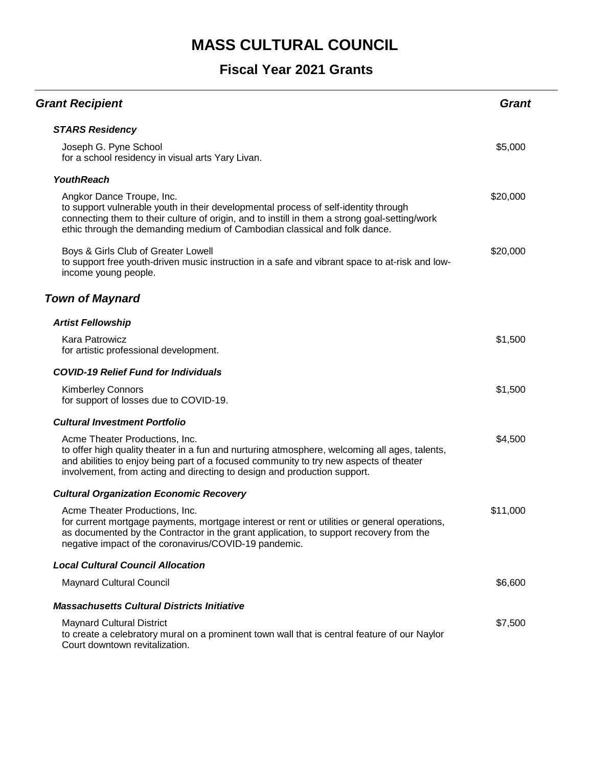| <b>Grant Recipient</b>                                                                                                                                                                                                                                                                                | <b>Grant</b> |
|-------------------------------------------------------------------------------------------------------------------------------------------------------------------------------------------------------------------------------------------------------------------------------------------------------|--------------|
| <b>STARS Residency</b>                                                                                                                                                                                                                                                                                |              |
| Joseph G. Pyne School<br>for a school residency in visual arts Yary Livan.                                                                                                                                                                                                                            | \$5,000      |
| <b>YouthReach</b>                                                                                                                                                                                                                                                                                     |              |
| Angkor Dance Troupe, Inc.<br>to support vulnerable youth in their developmental process of self-identity through<br>connecting them to their culture of origin, and to instill in them a strong goal-setting/work<br>ethic through the demanding medium of Cambodian classical and folk dance.        | \$20,000     |
| Boys & Girls Club of Greater Lowell<br>to support free youth-driven music instruction in a safe and vibrant space to at-risk and low-<br>income young people.                                                                                                                                         | \$20,000     |
| <b>Town of Maynard</b>                                                                                                                                                                                                                                                                                |              |
| <b>Artist Fellowship</b>                                                                                                                                                                                                                                                                              |              |
| Kara Patrowicz<br>for artistic professional development.                                                                                                                                                                                                                                              | \$1,500      |
| <b>COVID-19 Relief Fund for Individuals</b>                                                                                                                                                                                                                                                           |              |
| <b>Kimberley Connors</b><br>for support of losses due to COVID-19.                                                                                                                                                                                                                                    | \$1,500      |
| <b>Cultural Investment Portfolio</b>                                                                                                                                                                                                                                                                  |              |
| Acme Theater Productions, Inc.<br>to offer high quality theater in a fun and nurturing atmosphere, welcoming all ages, talents,<br>and abilities to enjoy being part of a focused community to try new aspects of theater<br>involvement, from acting and directing to design and production support. | \$4,500      |
| <b>Cultural Organization Economic Recovery</b>                                                                                                                                                                                                                                                        |              |
| Acme Theater Productions, Inc.<br>for current mortgage payments, mortgage interest or rent or utilities or general operations,<br>as documented by the Contractor in the grant application, to support recovery from the<br>negative impact of the coronavirus/COVID-19 pandemic.                     | \$11,000     |
| <b>Local Cultural Council Allocation</b>                                                                                                                                                                                                                                                              |              |
| <b>Maynard Cultural Council</b>                                                                                                                                                                                                                                                                       | \$6,600      |
| <b>Massachusetts Cultural Districts Initiative</b>                                                                                                                                                                                                                                                    |              |
| <b>Maynard Cultural District</b><br>to create a celebratory mural on a prominent town wall that is central feature of our Naylor<br>Court downtown revitalization.                                                                                                                                    | \$7,500      |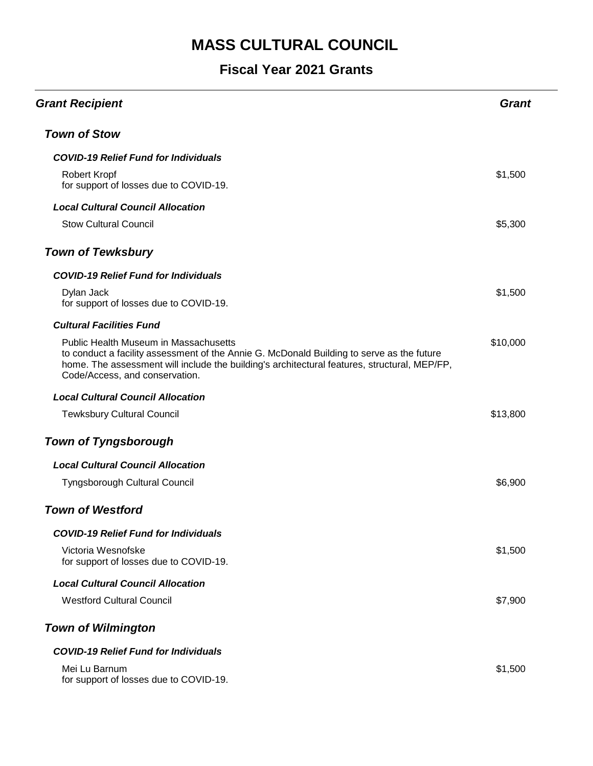| <b>Grant Recipient</b>                                                                                                                                                                                                                                                      | Grant    |
|-----------------------------------------------------------------------------------------------------------------------------------------------------------------------------------------------------------------------------------------------------------------------------|----------|
| <b>Town of Stow</b>                                                                                                                                                                                                                                                         |          |
| <b>COVID-19 Relief Fund for Individuals</b>                                                                                                                                                                                                                                 |          |
| Robert Kropf<br>for support of losses due to COVID-19.                                                                                                                                                                                                                      | \$1,500  |
| <b>Local Cultural Council Allocation</b>                                                                                                                                                                                                                                    |          |
| <b>Stow Cultural Council</b>                                                                                                                                                                                                                                                | \$5,300  |
| <b>Town of Tewksbury</b>                                                                                                                                                                                                                                                    |          |
| <b>COVID-19 Relief Fund for Individuals</b>                                                                                                                                                                                                                                 |          |
| Dylan Jack<br>for support of losses due to COVID-19.                                                                                                                                                                                                                        | \$1,500  |
| <b>Cultural Facilities Fund</b>                                                                                                                                                                                                                                             |          |
| <b>Public Health Museum in Massachusetts</b><br>to conduct a facility assessment of the Annie G. McDonald Building to serve as the future<br>home. The assessment will include the building's architectural features, structural, MEP/FP,<br>Code/Access, and conservation. | \$10,000 |
| <b>Local Cultural Council Allocation</b>                                                                                                                                                                                                                                    |          |
| <b>Tewksbury Cultural Council</b>                                                                                                                                                                                                                                           | \$13,800 |
| <b>Town of Tyngsborough</b>                                                                                                                                                                                                                                                 |          |
| <b>Local Cultural Council Allocation</b>                                                                                                                                                                                                                                    |          |
| Tyngsborough Cultural Council                                                                                                                                                                                                                                               | \$6,900  |
| <b>Town of Westford</b>                                                                                                                                                                                                                                                     |          |
| <b>COVID-19 Relief Fund for Individuals</b>                                                                                                                                                                                                                                 |          |
| Victoria Wesnofske<br>for support of losses due to COVID-19.                                                                                                                                                                                                                | \$1,500  |
| <b>Local Cultural Council Allocation</b>                                                                                                                                                                                                                                    |          |
| <b>Westford Cultural Council</b>                                                                                                                                                                                                                                            | \$7,900  |
| <b>Town of Wilmington</b>                                                                                                                                                                                                                                                   |          |
| <b>COVID-19 Relief Fund for Individuals</b>                                                                                                                                                                                                                                 |          |
| Mei Lu Barnum<br>for support of losses due to COVID-19.                                                                                                                                                                                                                     | \$1,500  |